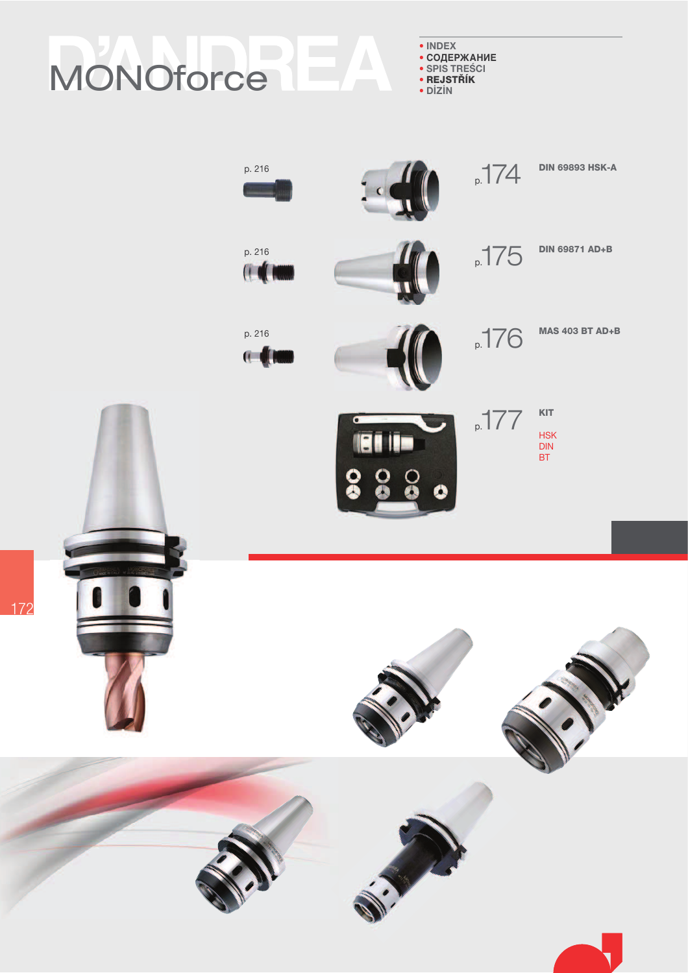# MONOforce

 $\bullet$  INDEX • СОДЕРЖАНИЕ

- · SPIS TRESCI · REJSTŘÍK
- DİZİN
- 

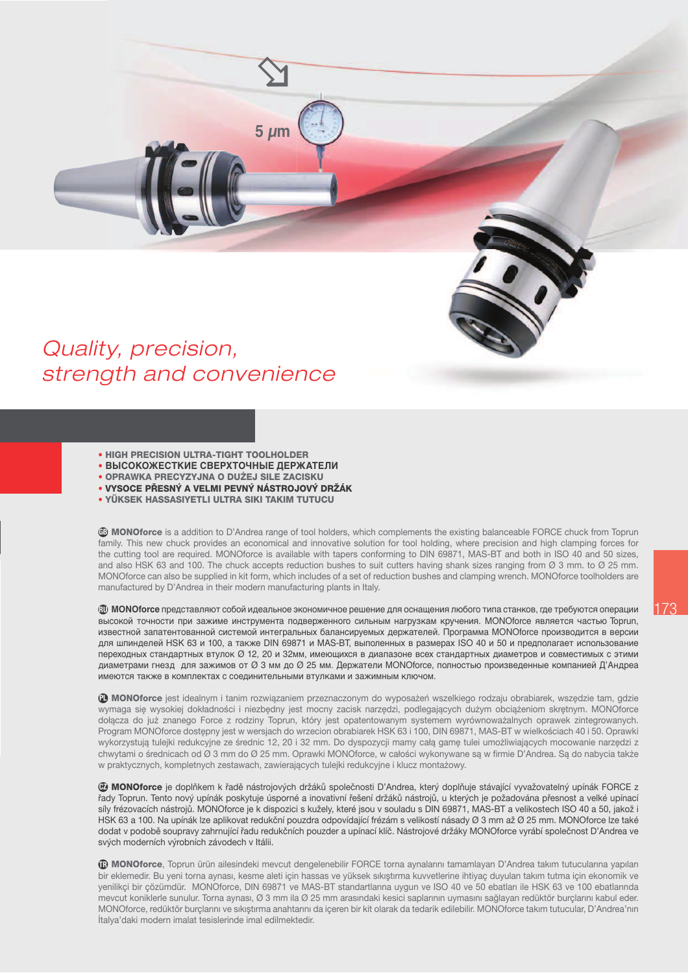### Quality, precision, strength and convenience

- ÷ HIGH PRECISION ULTRA-TIGHT TOOLHOLDER
- ÷ **ВЫСОКОЖЕСТКИЕ СВЕРХТОЧНЫЕ ДЕРЖАТЕЛИ**
- OPRAWKA PRECYZYJNA O DUŻEJ SILE ZACISKU
- VYSOCE PŘESNÝ A VELMI PEVNÝ NÁSTROJOVÝ DRŽÁK

**5 m**

÷ YÜKSEK HASSASIYETLI ULTRA SIKI TAKIM TUTUCU

**<sup>6</sup>D MONOforce** is a addition to D'Andrea range of tool holders, which complements the existing balanceable FORCE chuck from Toprun family. This new chuck provides an economical and innovative solution for tool holding, where precision and high clamping forces for the cutting tool are required. MONOforce is available with tapers conforming to DIN 69871, MAS-BT and both in ISO 40 and 50 sizes, and also HSK 63 and 100. The chuck accepts reduction bushes to suit cutters having shank sizes ranging from Ø 3 mm, to Ø 25 mm. MONOforce can also be supplied in kit form, which includes of a set of reduction bushes and clamping wrench. MONOforce toolholders are manufactured by D'Andrea in their modern manufacturing plants in Italy.

 $\mathfrak W$  **MONOforce** представляют собой идеальное экономичное решение для оснащения любого типа станков, где требуются операции высокой точности при зажиме инструмента подверженного сильным нагрузкам кручения. MONOforce является частью Toprun, известной запатентованной системой интегральных балансируемых держателей. Программа MONOforce производится в версии для шпинделей HSK 63 и 100, а также DIN 69871 и MAS-BT, выполенных в размерах ISO 40 и 50 и предполагает использование переходных стандартных втулок Ø 12, 20 и 32мм, имеющихся в диапазоне всех стандартных диаметров и совместимых с этими диаметрами гнезд для зажимов от Ø 3 мм до Ø 25 мм. Держатели MONOforce, полностью произведенные компанией Д'Андреа имеются также в комплектах с соединительными втулками и зажимным ключом.

1 MONOforce jest idealnym i tanim rozwiązaniem przeznaczonym do wyposażeń wszelkiego rodzaju obrabiarek, wszędzie tam, gdzie wymaga się wysokiej dokładności i niezbędny jest mocny zacisk narzędzi, podlegających dużym obciążeniom skrętnym. MONOforce dołącza do już znanego Force z rodziny Toprun, który jest opatentowanym systemem wyrównoważalnych oprawek zintegrowanych. Program MONOforce dostępny jest w wersjach do wrzecion obrabiarek HSK 63 i 100, DIN 69871, MAS-BT w wielkościach 40 i 50. Oprawki wykorzystują tulejki redukcyjne ze średnic 12, 20 i 32 mm. Do dyspozycji mamy cała game tulei umożliwiających mocowanie narzędzi z chwytami o średnicach od Ø 3 mm do Ø 25 mm. Oprawki MONOforce, w całości wykonywane są w firmie D'Andrea. Są do nabycia także w praktycznych, kompletnych zestawach, zawierających tulejki redukcyjne i klucz montażowy.

**@ MONOforce** je doplňkem k řadě nástrojových držáků společnosti D'Andrea, který doplňuje stávající vyvažovatelný upínák FORCE z řady Toprun. Tento nový upínák poskytuje úsporné a inovativní řešení držáků nástrojů, u kterých je požadována přesnost a velké upínací síly frézovacích nástrojů. MONOforce je k dispozici s kužely, které jsou v souladu s DIN 69871, MAS-BT a velikostech ISO 40 a 50, jakož i HSK 63 a 100. Na upínák lze aplikovat redukční pouzdra odpovídající frézám s velikostí násady Ø 3 mm až Ø 25 mm. MONOforce lze také dodat v podobě soupravy zahrnující řadu redukčních pouzder a upínací klíč. Nástrojové držáky MONOforce vyrábí společnost D'Andrea ve svých moderních výrobních závodech v Itálii.

**TD MONOforce**, Toprun ürün ailesindeki mevcut dengelenebilir FORCE torna aynalarını tamamlayan D'Andrea takım tutucularına yapılan bir eklemedir. Bu yeni torna aynası, kesme aleti için hassas ve yüksek sıkıştırma kuvvetlerine ihtiyaç duyulan takım tutma için ekonomik ve yenilikçi bir çözümdür. MONOforce, DIN 69871 ve MAS-BT standartlarına uygun ve ISO 40 ve 50 ebatları ile HSK 63 ve 100 ebatlarında mevcut koniklerle sunulur. Torna aynası, Ø 3 mm ila Ø 25 mm arasındaki kesici saplarının uymasını sağlayan redüktör burçlarını kabul eder. MONOforce, redüktör burclarını ve sıkıstırma anahtarını da içeren bir kit olarak da tedarik edilebilir. MONOforce takım tutucular, D'Andrea'nın İtalya'daki modern imalat tesislerinde imal edilmektedir.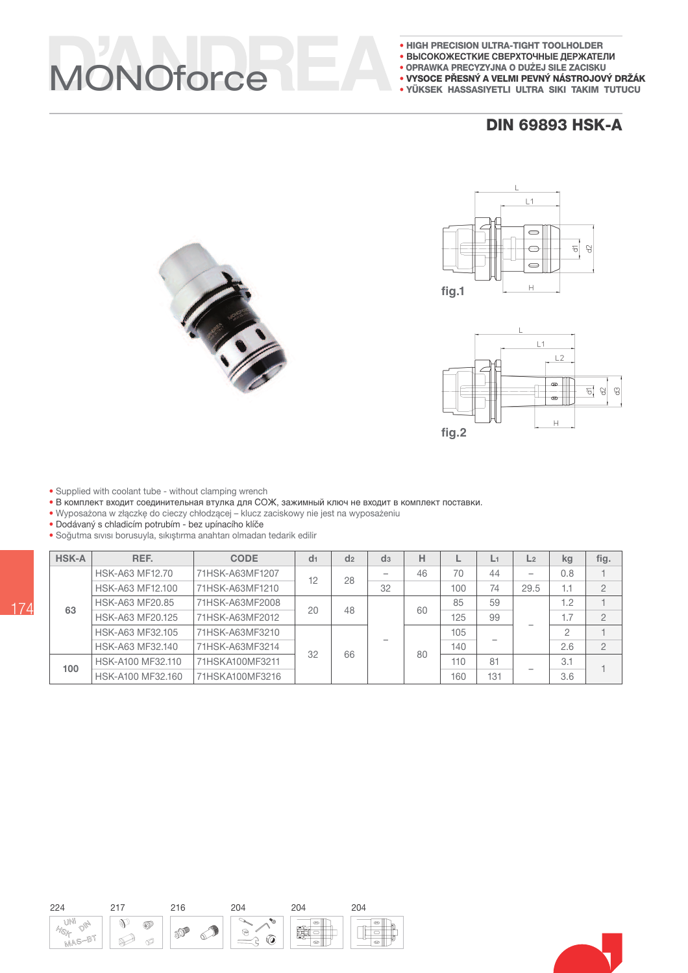## VONOforce

- . HIGH PRECISION ULTRA-TIGHT TOOLHOLDER
- ВЫСОКОЖЕСТКИЕ СВЕРХТОЧНЫЕ ДЕРЖАТЕЛИ
- · OPRAWKA PRECYZYJNA O DUŻEJ SILE ZACISKU
- · VYSOCE PŘESNÝ A VELMI PEVNÝ NÁSTROJOVÝ DRŽÁK
- YÜKSEK HASSASIYETLI ULTRA SIKI TAKIM TUTUCU

#### **DIN 69893 HSK-A**







- · Supplied with coolant tube without clamping wrench
- В комплект входит соединительная втулка для СОЖ, зажимный ключ не входит в комплект поставки.
- Wyposażona w złączkę do cieczy chłodzącej klucz zaciskowy nie jest na wyposażeniu<br>• Dodávaný s chladicím potrubím bez upínacího klíče
- 
- · Soğutma sıvısı borusuyla, sıkıştırma anahtarı olmadan tedarik edilir

| <b>HSK-A</b> | REF.              | <b>CODE</b>     | d <sub>1</sub> | d <sub>2</sub> | d <sub>3</sub> | н  | ட   | L1  | L <sub>2</sub>           | kg             | fig.           |  |     |  |
|--------------|-------------------|-----------------|----------------|----------------|----------------|----|-----|-----|--------------------------|----------------|----------------|--|-----|--|
|              | HSK-A63 MF12.70   | 71HSK-A63MF1207 | 12             | 28             |                | 46 | 70  | 44  | $\overline{\phantom{a}}$ | 0.8            |                |  |     |  |
|              | HSK-A63 MF12.100  | 71HSK-A63MF1210 |                |                | 32             |    | 100 | 74  | 29.5                     | 1.1            | $\overline{2}$ |  |     |  |
| 63           | HSK-A63 MF20.85   | 71HSK-A63MF2008 | 20             | 48             |                | 60 | 85  | 59  |                          | 1.2            |                |  |     |  |
|              | HSK-A63 MF20.125  | 71HSK-A63MF2012 |                |                |                |    | 125 | 99  |                          | 1.7            | $\overline{2}$ |  |     |  |
|              | HSK-A63 MF32.105  | 71HSK-A63MF3210 | 32             |                |                |    | 105 |     |                          | $\overline{c}$ |                |  |     |  |
|              | HSK-A63 MF32.140  | 71HSK-A63MF3214 |                | 66             |                | 80 | 140 |     |                          | 2.6            | $\overline{2}$ |  |     |  |
| 100          | HSK-A100 MF32.110 | 71HSKA100MF3211 |                |                |                |    |     |     |                          | 110            | 81             |  | 3.1 |  |
|              | HSK-A100 MF32.160 | 71HSKA100MF3216 |                |                |                |    | 160 | 131 |                          | 3.6            |                |  |     |  |

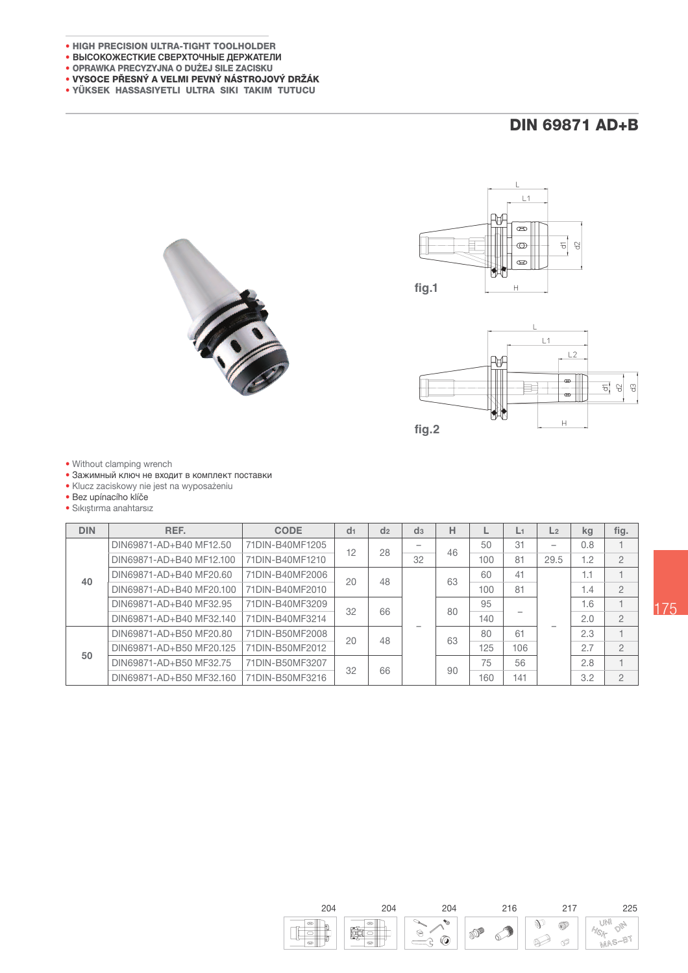- . HIGH PRECISION ULTRA-TIGHT TOOLHOLDER
- BЫCOKOЖЕСТКИЕ СВЕРХТОЧНЫЕ ДЕРЖАТЕЛИ
- · OPRAWKA PRECYZYJNA O DUŻEJ SILE ZACISKU
- · VYSOCE PŘESNÝ A VELMI PEVNÝ NÁSTROJOVÝ DRŽÁK
- · YÜKSEK HASSASIYETLI ULTRA SIKI TAKIM TUTUCU

### **DIN 69871 AD+B**







• Without clamping wrench

• Зажимный ключ не входит в комплект поставки

· Klucz zaciskowy nie jest na wyposażeniu

· Bez upínacího klíče

· Sıkıştırma anahtarsız

| <b>DIN</b> | REF.                     | <b>CODE</b>     | d <sub>1</sub> | d <sub>2</sub> | d <sub>3</sub> | н  |     | L1  | L <sub>2</sub> | kg  | fig.           |
|------------|--------------------------|-----------------|----------------|----------------|----------------|----|-----|-----|----------------|-----|----------------|
|            | DIN69871-AD+B40 MF12.50  | 71DIN-B40MF1205 | 12             | 28             | 32             | 46 | 50  | 31  | -              | 0.8 |                |
|            | DIN69871-AD+B40 MF12.100 | 71DIN-B40MF1210 |                |                |                |    | 100 | 81  | 29.5           | 1.2 | $\overline{2}$ |
| 40         | DIN69871-AD+B40 MF20.60  | 71DIN-B40MF2006 | 20             | 48             |                | 63 | 60  | 41  |                | 1.1 |                |
|            | DIN69871-AD+B40 MF20.100 | 71DIN-B40MF2010 |                |                |                |    | 100 | 81  |                | 1.4 | $\overline{2}$ |
|            | DIN69871-AD+B40 MF32.95  | 71DIN-B40MF3209 | 32             | 66             |                | 80 | 95  |     |                | 1.6 |                |
|            | DIN69871-AD+B40 MF32.140 | 71DIN-B40MF3214 |                |                |                |    | 140 |     |                | 2.0 | $\overline{2}$ |
|            | DIN69871-AD+B50 MF20.80  | 71DIN-B50MF2008 | 20             | 48             |                | 63 | 80  | 61  |                | 2.3 |                |
| 50         | DIN69871-AD+B50 MF20.125 | 71DIN-B50MF2012 |                |                |                |    |     | 125 | 106            |     | 2.7            |
|            | DIN69871-AD+B50 MF32.75  | 71DIN-B50MF3207 | 32             | 66             |                |    | 75  | 56  |                | 2.8 |                |
|            | DIN69871-AD+B50 MF32.160 | 71DIN-B50MF3216 |                |                |                |    | 90  | 160 | 141            |     | 3.2            |

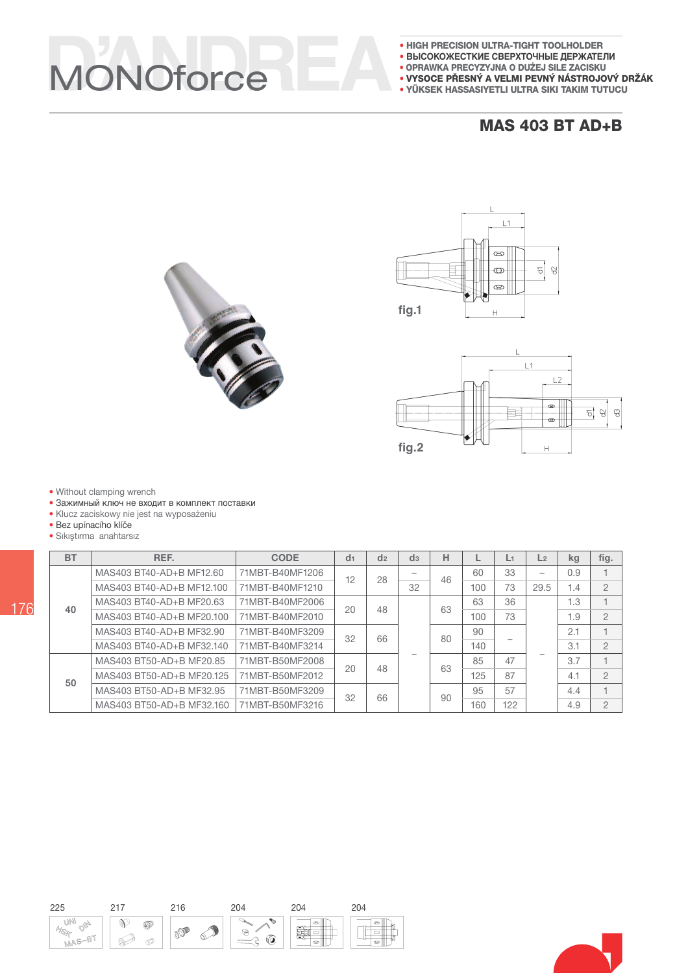## VONOforce

- . HIGH PRECISION ULTRA-TIGHT TOOLHOLDER
- ВЫСОКОЖЕСТКИЕ СВЕРХТОЧНЫЕ ДЕРЖАТЕЛИ
- · OPRAWKA PRECYZYJNA O DUŻEJ SILE ZACISKU
- VYSOCE PŘESNÝ A VELMI PEVNÝ NÁSTROJOVÝ DRŽÁK
- YÜKSEK HASSASIYETLI ULTRA SIKI TAKIM TUTUCU

#### **MAS 403 BT AD+B**







· Without clamping wrench

- Зажимный ключ не входит в комплект поставки
- · Klucz zaciskowy nie jest na wyposażeniu
- · Bez upínacího klíče
- · Sıkıştırma anahtarsız

| <b>BT</b> | REF.                      | <b>CODE</b>     | d <sub>1</sub> | d <sub>2</sub> | d <sub>3</sub> | н   |     | L1  | L <sub>2</sub>           | kg             | fig.           |
|-----------|---------------------------|-----------------|----------------|----------------|----------------|-----|-----|-----|--------------------------|----------------|----------------|
|           | MAS403 BT40-AD+B MF12.60  | 71MBT-B40MF1206 | 12             | 28             | -              | 46  | 60  | 33  | $\overline{\phantom{0}}$ | 0.9            |                |
|           | MAS403 BT40-AD+B MF12.100 | 71MBT-B40MF1210 |                |                | 32             |     | 100 | 73  | 29.5                     | 1.4            | $\overline{2}$ |
| 40        | MAS403 BT40-AD+B MF20.63  | 71MBT-B40MF2006 | 20             | 48             |                | 63  | 63  | 36  |                          | 1.3            |                |
|           | MAS403 BT40-AD+B MF20.100 | 71MBT-B40MF2010 |                |                |                |     | 100 | 73  |                          | 1.9            | $\overline{2}$ |
|           | MAS403 BT40-AD+B MF32.90  | 71MBT-B40MF3209 | 32             | 66             |                | 80  | 90  |     |                          | 2.1            |                |
|           | MAS403 BT40-AD+B MF32.140 | 71MBT-B40MF3214 |                |                |                | 140 |     |     | 3.1                      | $\overline{2}$ |                |
|           | MAS403 BT50-AD+B MF20.85  | 71MBT-B50MF2008 | 20             | 48             |                | 63  | 85  | 47  |                          | 3.7            |                |
| 50        | MAS403 BT50-AD+B MF20.125 | 71MBT-B50MF2012 |                |                |                |     | 125 | 87  |                          | 4.1            | $\overline{2}$ |
|           | MAS403 BT50-AD+B MF32.95  | 71MBT-B50MF3209 | 32             | 66             |                | 90  | 95  | 57  |                          | 4.4            |                |
|           | MAS403 BT50-AD+B MF32.160 | 71MBT-B50MF3216 |                |                |                |     | 160 | 122 |                          | 4.9            | $\overline{2}$ |